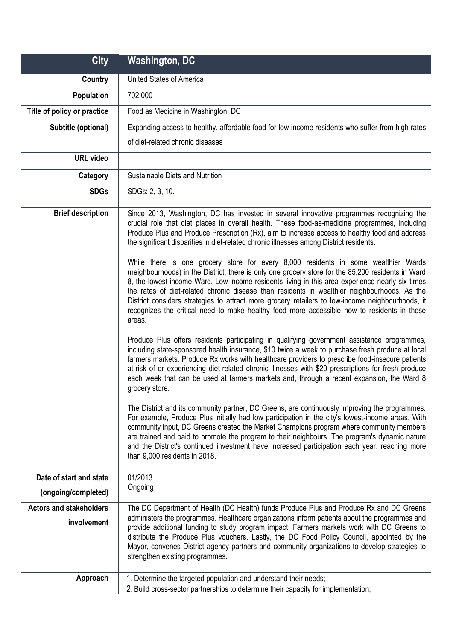| <b>City</b>                    | <b>Washington, DC</b>                                                                                                                                                                                                                                                                                                                                                                                                                                                                                                            |
|--------------------------------|----------------------------------------------------------------------------------------------------------------------------------------------------------------------------------------------------------------------------------------------------------------------------------------------------------------------------------------------------------------------------------------------------------------------------------------------------------------------------------------------------------------------------------|
| Country                        | <b>United States of America</b>                                                                                                                                                                                                                                                                                                                                                                                                                                                                                                  |
| <b>Population</b>              | 702,000                                                                                                                                                                                                                                                                                                                                                                                                                                                                                                                          |
| Title of policy or practice    | Food as Medicine in Washington, DC                                                                                                                                                                                                                                                                                                                                                                                                                                                                                               |
| Subtitle (optional)            | Expanding access to healthy, affordable food for low-income residents who suffer from high rates                                                                                                                                                                                                                                                                                                                                                                                                                                 |
|                                | of diet-related chronic diseases                                                                                                                                                                                                                                                                                                                                                                                                                                                                                                 |
| <b>URL video</b>               |                                                                                                                                                                                                                                                                                                                                                                                                                                                                                                                                  |
| Category                       | Sustainable Diets and Nutrition                                                                                                                                                                                                                                                                                                                                                                                                                                                                                                  |
| <b>SDGs</b>                    | SDGs: 2, 3, 10.                                                                                                                                                                                                                                                                                                                                                                                                                                                                                                                  |
| <b>Brief description</b>       | Since 2013, Washington, DC has invested in several innovative programmes recognizing the<br>crucial role that diet places in overall health. These food-as-medicine programmes, including<br>Produce Plus and Produce Prescription (Rx), aim to increase access to healthy food and address<br>the significant disparities in diet-related chronic illnesses among District residents.<br>While there is one grocery store for every 8,000 residents in some wealthier Wards                                                     |
|                                | (neighbourhoods) in the District, there is only one grocery store for the 85,200 residents in Ward<br>8, the lowest-income Ward. Low-income residents living in this area experience nearly six times<br>the rates of diet-related chronic disease than residents in wealthier neighbourhoods. As the<br>District considers strategies to attract more grocery retailers to low-income neighbourhoods, it<br>recognizes the critical need to make healthy food more accessible now to residents in these<br>areas.               |
|                                | Produce Plus offers residents participating in qualifying government assistance programmes,<br>including state-sponsored health insurance, \$10 twice a week to purchase fresh produce at local<br>farmers markets. Produce Rx works with healthcare providers to prescribe food-insecure patients<br>at-risk of or experiencing diet-related chronic illnesses with \$20 prescriptions for fresh produce<br>each week that can be used at farmers markets and, through a recent expansion, the Ward 8<br>grocery store.         |
|                                | The District and its community partner, DC Greens, are continuously improving the programmes.<br>For example, Produce Plus initially had low participation in the city's lowest-income areas. With<br>community input, DC Greens created the Market Champions program where community members<br>are trained and paid to promote the program to their neighbours. The program's dynamic nature<br>and the District's continued investment have increased participation each year, reaching more<br>than 9,000 residents in 2018. |
| Date of start and state        | 01/2013                                                                                                                                                                                                                                                                                                                                                                                                                                                                                                                          |
| (ongoing/completed)            | Ongoing                                                                                                                                                                                                                                                                                                                                                                                                                                                                                                                          |
| <b>Actors and stakeholders</b> | The DC Department of Health (DC Health) funds Produce Plus and Produce Rx and DC Greens                                                                                                                                                                                                                                                                                                                                                                                                                                          |
| involvement                    | administers the programmes. Healthcare organizations inform patients about the programmes and<br>provide additional funding to study program impact. Farmers markets work with DC Greens to<br>distribute the Produce Plus vouchers. Lastly, the DC Food Policy Council, appointed by the<br>Mayor, convenes District agency partners and community organizations to develop strategies to<br>strengthen existing programmes.                                                                                                    |
| Approach                       | 1. Determine the targeted population and understand their needs;<br>2. Build cross-sector partnerships to determine their capacity for implementation;                                                                                                                                                                                                                                                                                                                                                                           |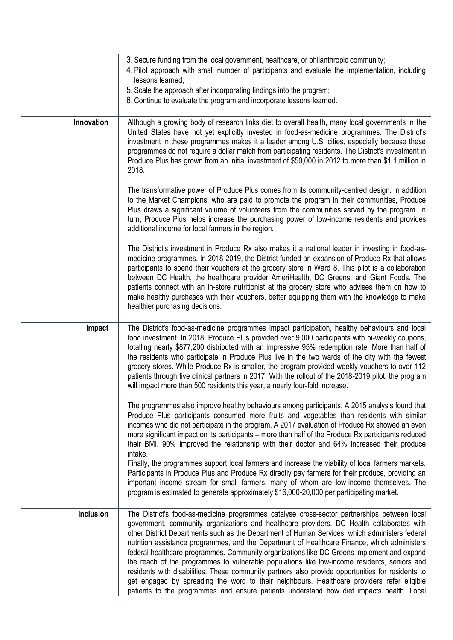|            | 3. Secure funding from the local government, healthcare, or philanthropic community;<br>4. Pilot approach with small number of participants and evaluate the implementation, including<br>lessons learned;<br>5. Scale the approach after incorporating findings into the program;<br>6. Continue to evaluate the program and incorporate lessons learned.                                                                                                                                                                                                                                                                                                                                                                                                                                                                                                                                                   |
|------------|--------------------------------------------------------------------------------------------------------------------------------------------------------------------------------------------------------------------------------------------------------------------------------------------------------------------------------------------------------------------------------------------------------------------------------------------------------------------------------------------------------------------------------------------------------------------------------------------------------------------------------------------------------------------------------------------------------------------------------------------------------------------------------------------------------------------------------------------------------------------------------------------------------------|
| Innovation | Although a growing body of research links diet to overall health, many local governments in the<br>United States have not yet explicitly invested in food-as-medicine programmes. The District's<br>investment in these programmes makes it a leader among U.S. cities, especially because these<br>programmes do not require a dollar match from participating residents. The District's investment in<br>Produce Plus has grown from an initial investment of \$50,000 in 2012 to more than \$1.1 million in<br>2018.                                                                                                                                                                                                                                                                                                                                                                                      |
|            | The transformative power of Produce Plus comes from its community-centred design. In addition<br>to the Market Champions, who are paid to promote the program in their communities, Produce<br>Plus draws a significant volume of volunteers from the communities served by the program. In<br>turn, Produce Plus helps increase the purchasing power of low-income residents and provides<br>additional income for local farmers in the region.                                                                                                                                                                                                                                                                                                                                                                                                                                                             |
|            | The District's investment in Produce Rx also makes it a national leader in investing in food-as-<br>medicine programmes. In 2018-2019, the District funded an expansion of Produce Rx that allows<br>participants to spend their vouchers at the grocery store in Ward 8. This pilot is a collaboration<br>between DC Health, the healthcare provider AmeriHealth, DC Greens, and Giant Foods. The<br>patients connect with an in-store nutritionist at the grocery store who advises them on how to<br>make healthy purchases with their vouchers, better equipping them with the knowledge to make<br>healthier purchasing decisions.                                                                                                                                                                                                                                                                      |
| Impact     | The District's food-as-medicine programmes impact participation, healthy behaviours and local<br>food investment. In 2018, Produce Plus provided over 9,000 participants with bi-weekly coupons,<br>totalling nearly \$877,200 distributed with an impressive 95% redemption rate. More than half of<br>the residents who participate in Produce Plus live in the two wards of the city with the fewest<br>grocery stores. While Produce Rx is smaller, the program provided weekly vouchers to over 112<br>patients through five clinical partners in 2017. With the rollout of the 2018-2019 pilot, the program<br>will impact more than 500 residents this year, a nearly four-fold increase.                                                                                                                                                                                                             |
|            | The programmes also improve healthy behaviours among participants. A 2015 analysis found that<br>Produce Plus participants consumed more fruits and vegetables than residents with similar<br>incomes who did not participate in the program. A 2017 evaluation of Produce Rx showed an even<br>more significant impact on its participants – more than half of the Produce Rx participants reduced<br>their BMI, 90% improved the relationship with their doctor and 64% increased their produce<br>intake.<br>Finally, the programmes support local farmers and increase the viability of local farmers markets.<br>Participants in Produce Plus and Produce Rx directly pay farmers for their produce, providing an<br>important income stream for small farmers, many of whom are low-income themselves. The<br>program is estimated to generate approximately \$16,000-20,000 per participating market. |
| Inclusion  | The District's food-as-medicine programmes catalyse cross-sector partnerships between local<br>government, community organizations and healthcare providers. DC Health collaborates with<br>other District Departments such as the Department of Human Services, which administers federal<br>nutrition assistance programmes, and the Department of Healthcare Finance, which administers<br>federal healthcare programmes. Community organizations like DC Greens implement and expand<br>the reach of the programmes to vulnerable populations like low-income residents, seniors and<br>residents with disabilities. These community partners also provide opportunities for residents to<br>get engaged by spreading the word to their neighbours. Healthcare providers refer eligible<br>patients to the programmes and ensure patients understand how diet impacts health. Local                      |